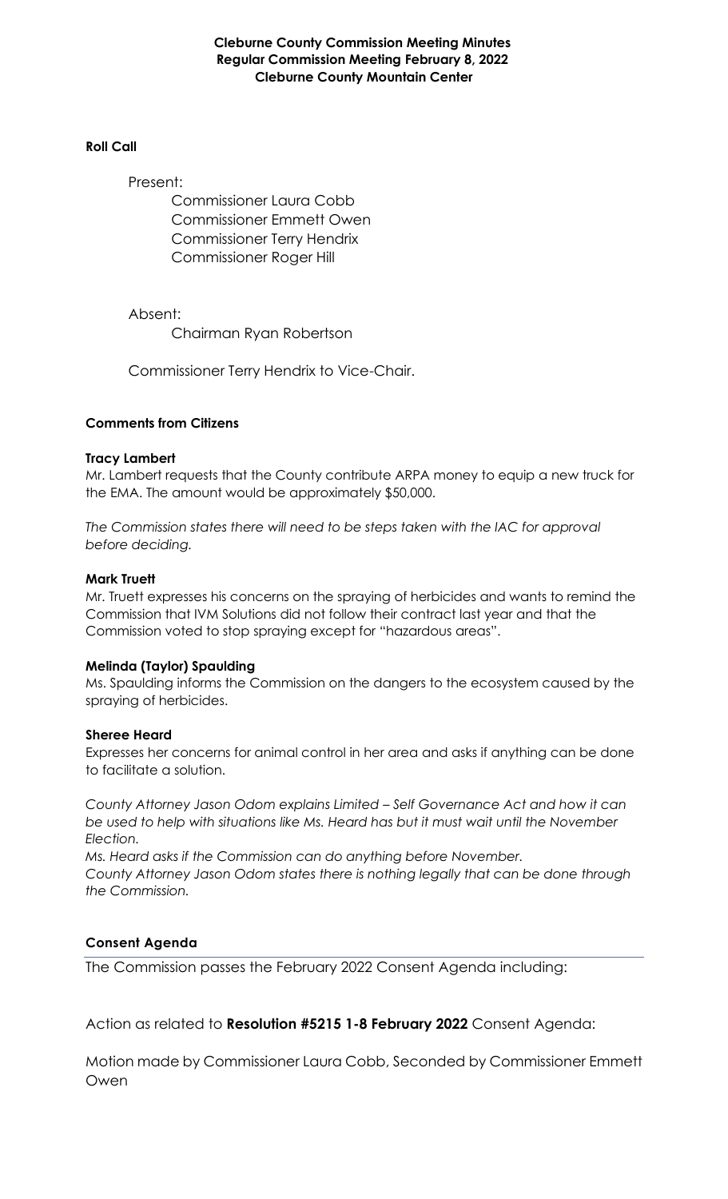**Cleburne County Commission Meeting Minutes Regular Commission Meeting February 8, 2022 Cleburne County Mountain Center**

#### **Roll Call**

Present:

Commissioner Laura Cobb Commissioner Emmett Owen Commissioner Terry Hendrix Commissioner Roger Hill

Absent:

Chairman Ryan Robertson

Commissioner Terry Hendrix to Vice-Chair.

## **Comments from Citizens**

#### **Tracy Lambert**

Mr. Lambert requests that the County contribute ARPA money to equip a new truck for the EMA. The amount would be approximately \$50,000.

*The Commission states there will need to be steps taken with the IAC for approval before deciding.*

#### **Mark Truett**

Mr. Truett expresses his concerns on the spraying of herbicides and wants to remind the Commission that IVM Solutions did not follow their contract last year and that the Commission voted to stop spraying except for "hazardous areas".

## **Melinda (Taylor) Spaulding**

Ms. Spaulding informs the Commission on the dangers to the ecosystem caused by the spraying of herbicides.

## **Sheree Heard**

Expresses her concerns for animal control in her area and asks if anything can be done to facilitate a solution.

*County Attorney Jason Odom explains Limited – Self Governance Act and how it can be used to help with situations like Ms. Heard has but it must wait until the November Election.*

*Ms. Heard asks if the Commission can do anything before November. County Attorney Jason Odom states there is nothing legally that can be done through the Commission.*

## **Consent Agenda**

The Commission passes the February 2022 Consent Agenda including:

Action as related to **Resolution #5215 1-8 February 2022** Consent Agenda:

Motion made by Commissioner Laura Cobb, Seconded by Commissioner Emmett Owen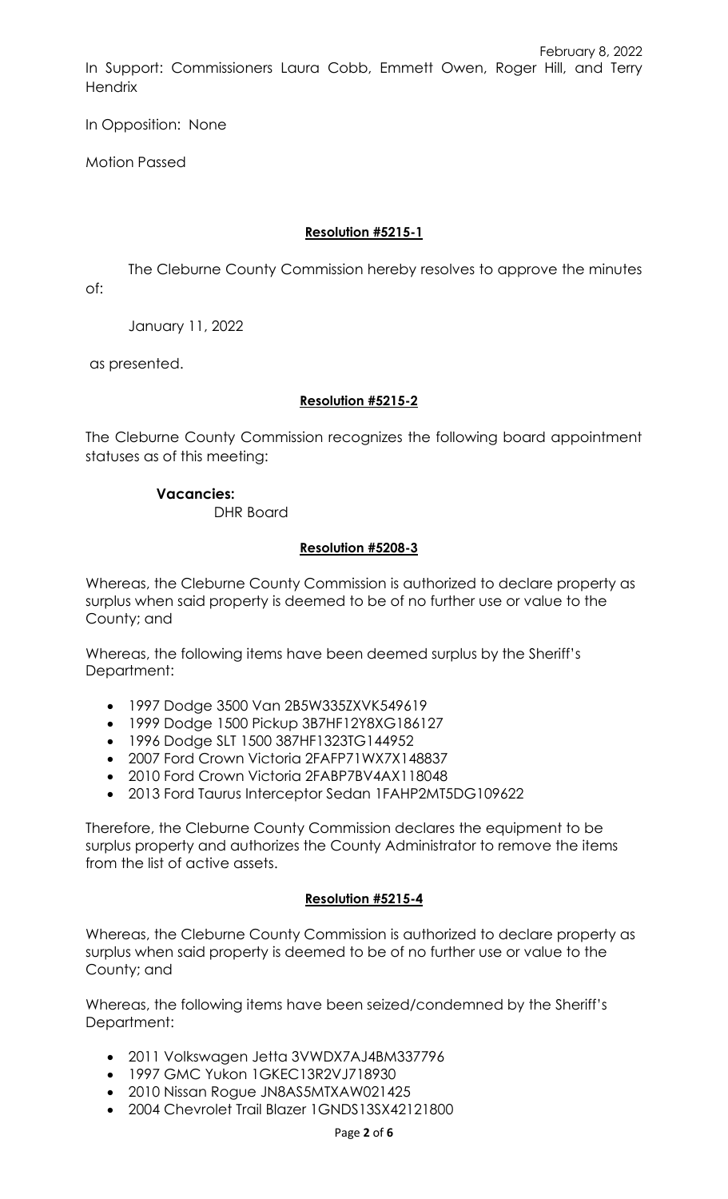February 8, 2022 In Support: Commissioners Laura Cobb, Emmett Owen, Roger Hill, and Terry **Hendrix** 

In Opposition: None

Motion Passed

## **Resolution #5215-1**

The Cleburne County Commission hereby resolves to approve the minutes of:

January 11, 2022

as presented.

## **Resolution #5215-2**

The Cleburne County Commission recognizes the following board appointment statuses as of this meeting:

## **Vacancies:**

DHR Board

## **Resolution #5208-3**

Whereas, the Cleburne County Commission is authorized to declare property as surplus when said property is deemed to be of no further use or value to the County; and

Whereas, the following items have been deemed surplus by the Sheriff's Department:

- 1997 Dodge 3500 Van 2B5W335ZXVK549619
- 1999 Dodge 1500 Pickup 3B7HF12Y8XG186127
- 1996 Dodge SLT 1500 387HF1323TG144952
- 2007 Ford Crown Victoria 2FAFP71WX7X148837
- 2010 Ford Crown Victoria 2FABP7BV4AX118048
- 2013 Ford Taurus Interceptor Sedan 1FAHP2MT5DG109622

Therefore, the Cleburne County Commission declares the equipment to be surplus property and authorizes the County Administrator to remove the items from the list of active assets.

# **Resolution #5215-4**

Whereas, the Cleburne County Commission is authorized to declare property as surplus when said property is deemed to be of no further use or value to the County; and

Whereas, the following items have been seized/condemned by the Sheriff's Department:

- 2011 Volkswagen Jetta 3VWDX7AJ4BM337796
- 1997 GMC Yukon 1GKEC13R2VJ718930
- 2010 Nissan Rogue JN8AS5MTXAW021425
- 2004 Chevrolet Trail Blazer 1GNDS13SX42121800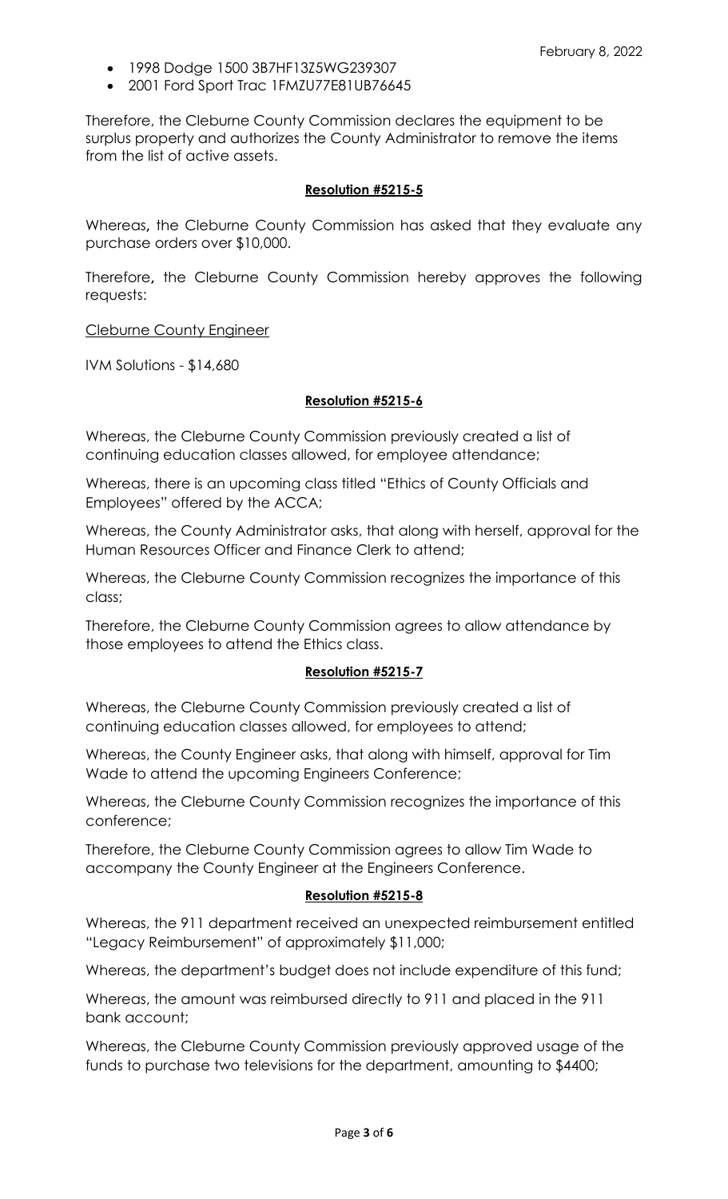- 1998 Dodge 1500 3B7HF13Z5WG239307
- 2001 Ford Sport Trac 1FMZU77E81UB76645

Therefore, the Cleburne County Commission declares the equipment to be surplus property and authorizes the County Administrator to remove the items from the list of active assets.

#### **Resolution #5215-5**

Whereas**,** the Cleburne County Commission has asked that they evaluate any purchase orders over \$10,000.

Therefore**,** the Cleburne County Commission hereby approves the following requests:

Cleburne County Engineer

IVM Solutions - \$14,680

#### **Resolution #5215-6**

Whereas, the Cleburne County Commission previously created a list of continuing education classes allowed, for employee attendance;

Whereas, there is an upcoming class titled "Ethics of County Officials and Employees" offered by the ACCA;

Whereas, the County Administrator asks, that along with herself, approval for the Human Resources Officer and Finance Clerk to attend;

Whereas, the Cleburne County Commission recognizes the importance of this class;

Therefore, the Cleburne County Commission agrees to allow attendance by those employees to attend the Ethics class.

#### **Resolution #5215-7**

Whereas, the Cleburne County Commission previously created a list of continuing education classes allowed, for employees to attend;

Whereas, the County Engineer asks, that along with himself, approval for Tim Wade to attend the upcoming Engineers Conference;

Whereas, the Cleburne County Commission recognizes the importance of this conference;

Therefore, the Cleburne County Commission agrees to allow Tim Wade to accompany the County Engineer at the Engineers Conference.

#### **Resolution #5215-8**

Whereas, the 911 department received an unexpected reimbursement entitled "Legacy Reimbursement" of approximately \$11,000;

Whereas, the department's budget does not include expenditure of this fund;

Whereas, the amount was reimbursed directly to 911 and placed in the 911 bank account;

Whereas, the Cleburne County Commission previously approved usage of the funds to purchase two televisions for the department, amounting to \$4400;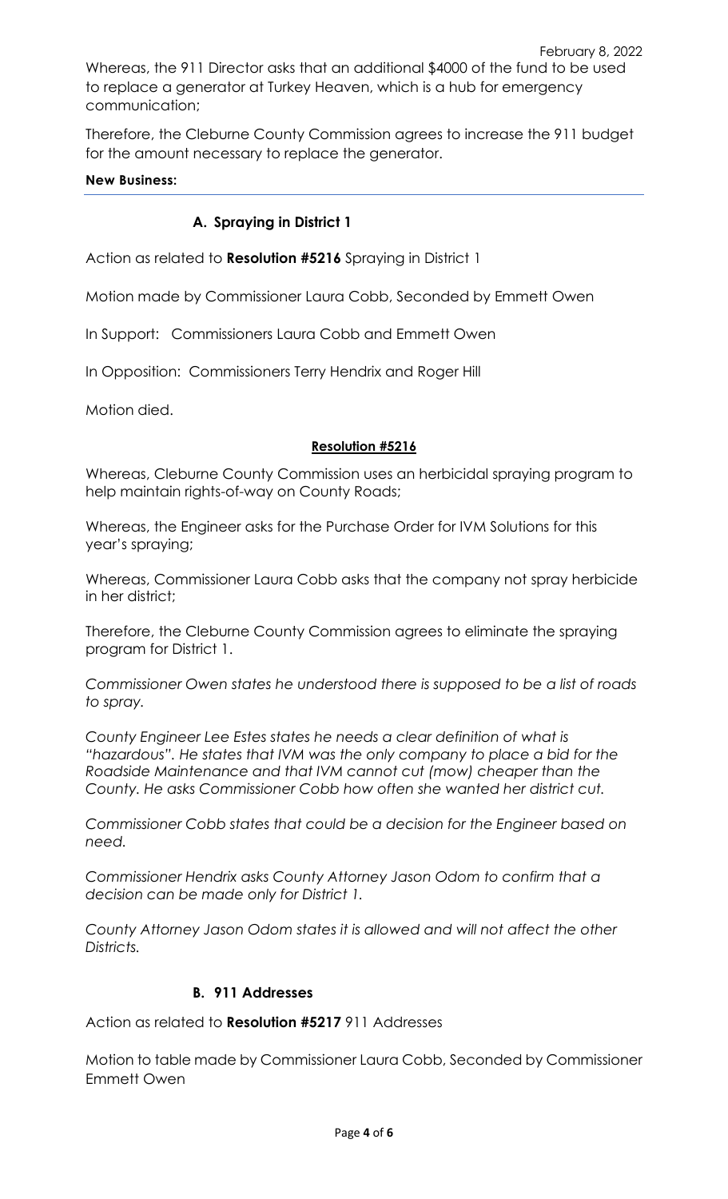February 8, 2022 Whereas, the 911 Director asks that an additional \$4000 of the fund to be used to replace a generator at Turkey Heaven, which is a hub for emergency communication;

Therefore, the Cleburne County Commission agrees to increase the 911 budget for the amount necessary to replace the generator.

## **New Business:**

# **A. Spraying in District 1**

Action as related to **Resolution #5216** Spraying in District 1

Motion made by Commissioner Laura Cobb, Seconded by Emmett Owen

In Support: Commissioners Laura Cobb and Emmett Owen

In Opposition: Commissioners Terry Hendrix and Roger Hill

Motion died.

## **Resolution #5216**

Whereas, Cleburne County Commission uses an herbicidal spraying program to help maintain rights-of-way on County Roads;

Whereas, the Engineer asks for the Purchase Order for IVM Solutions for this year's spraying;

Whereas, Commissioner Laura Cobb asks that the company not spray herbicide in her district;

Therefore, the Cleburne County Commission agrees to eliminate the spraying program for District 1.

*Commissioner Owen states he understood there is supposed to be a list of roads to spray.*

*County Engineer Lee Estes states he needs a clear definition of what is "hazardous". He states that IVM was the only company to place a bid for the Roadside Maintenance and that IVM cannot cut (mow) cheaper than the County. He asks Commissioner Cobb how often she wanted her district cut.*

*Commissioner Cobb states that could be a decision for the Engineer based on need.*

*Commissioner Hendrix asks County Attorney Jason Odom to confirm that a decision can be made only for District 1.*

*County Attorney Jason Odom states it is allowed and will not affect the other Districts.*

## **B. 911 Addresses**

Action as related to **Resolution #5217** 911 Addresses

Motion to table made by Commissioner Laura Cobb, Seconded by Commissioner Emmett Owen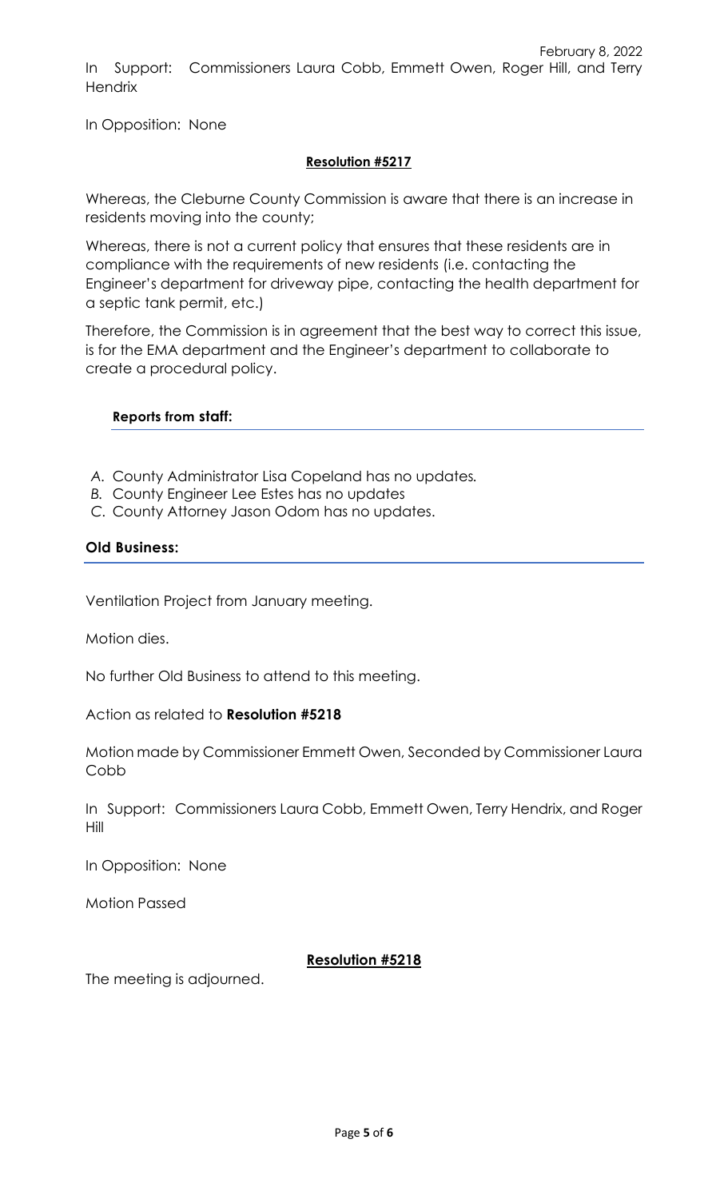In Opposition: None

## **Resolution #5217**

Whereas, the Cleburne County Commission is aware that there is an increase in residents moving into the county;

Whereas, there is not a current policy that ensures that these residents are in compliance with the requirements of new residents (i.e. contacting the Engineer's department for driveway pipe, contacting the health department for a septic tank permit, etc.)

Therefore, the Commission is in agreement that the best way to correct this issue, is for the EMA department and the Engineer's department to collaborate to create a procedural policy.

# **Reports from staff:**

- *A.* County Administrator Lisa Copeland has no updates*.*
- *B.* County Engineer Lee Estes has no updates
- *C.* County Attorney Jason Odom has no updates.

## **Old Business:**

Ventilation Project from January meeting.

Motion dies.

No further Old Business to attend to this meeting.

## Action as related to **Resolution #5218**

Motion made by Commissioner Emmett Owen, Seconded by Commissioner Laura Cobb

In Support: Commissioners Laura Cobb, Emmett Owen, Terry Hendrix, and Roger Hill

In Opposition: None

Motion Passed

# **Resolution #5218**

The meeting is adjourned.